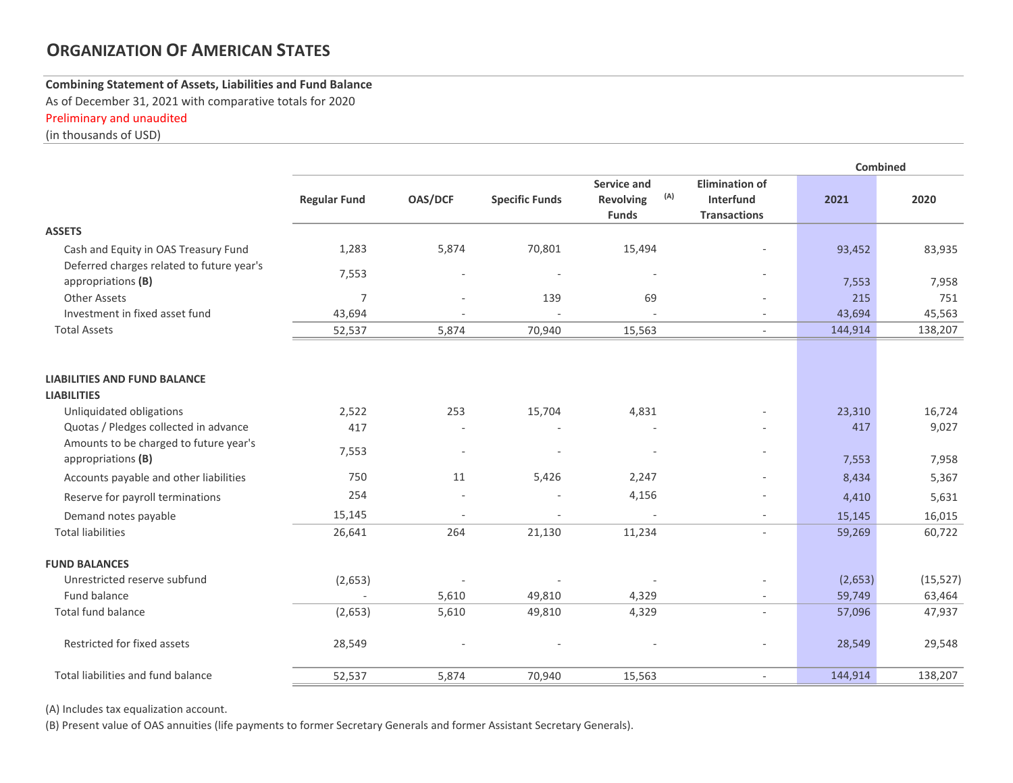# **ORGANIZATION OF AMERICAN STATES**

# **Combining Statement of Assets, Liabilities and Fund Balance**

As of December 31, 2021 with comparative totals for 2020

# Preliminary and unaudited

(in thousands of USD)

|                                                                 |                     |                          |                       |                                                        |                                                           | Combined |           |
|-----------------------------------------------------------------|---------------------|--------------------------|-----------------------|--------------------------------------------------------|-----------------------------------------------------------|----------|-----------|
|                                                                 | <b>Regular Fund</b> | <b>OAS/DCF</b>           | <b>Specific Funds</b> | Service and<br>(A)<br><b>Revolving</b><br><b>Funds</b> | <b>Elimination of</b><br>Interfund<br><b>Transactions</b> | 2021     | 2020      |
| <b>ASSETS</b>                                                   |                     |                          |                       |                                                        |                                                           |          |           |
| Cash and Equity in OAS Treasury Fund                            | 1,283               | 5,874                    | 70,801                | 15,494                                                 |                                                           | 93,452   | 83,935    |
| Deferred charges related to future year's<br>appropriations (B) | 7,553               |                          |                       |                                                        |                                                           | 7,553    | 7,958     |
| <b>Other Assets</b>                                             | $\overline{7}$      |                          | 139                   | 69                                                     |                                                           | 215      | 751       |
| Investment in fixed asset fund                                  | 43,694              |                          |                       |                                                        |                                                           | 43,694   | 45,563    |
| <b>Total Assets</b>                                             | 52,537              | 5,874                    | 70,940                | 15,563                                                 | $\sim$                                                    | 144,914  | 138,207   |
|                                                                 |                     |                          |                       |                                                        |                                                           |          |           |
| <b>LIABILITIES AND FUND BALANCE</b>                             |                     |                          |                       |                                                        |                                                           |          |           |
| <b>LIABILITIES</b>                                              |                     |                          |                       |                                                        |                                                           |          |           |
| Unliquidated obligations                                        | 2,522               | 253                      | 15,704                | 4,831                                                  |                                                           | 23,310   | 16,724    |
| Quotas / Pledges collected in advance                           | 417                 |                          |                       |                                                        |                                                           | 417      | 9,027     |
| Amounts to be charged to future year's<br>appropriations (B)    | 7,553               |                          |                       |                                                        |                                                           | 7,553    | 7,958     |
| Accounts payable and other liabilities                          | 750                 | 11                       | 5,426                 | 2,247                                                  |                                                           | 8,434    | 5,367     |
| Reserve for payroll terminations                                | 254                 |                          |                       | 4,156                                                  |                                                           | 4,410    | 5,631     |
| Demand notes payable                                            | 15,145              | $\overline{\phantom{a}}$ |                       | $\sim$                                                 |                                                           | 15,145   | 16,015    |
| <b>Total liabilities</b>                                        | 26,641              | 264                      | 21,130                | 11,234                                                 |                                                           | 59,269   | 60,722    |
| <b>FUND BALANCES</b>                                            |                     |                          |                       |                                                        |                                                           |          |           |
| Unrestricted reserve subfund                                    | (2,653)             |                          |                       |                                                        |                                                           | (2,653)  | (15, 527) |
| Fund balance                                                    | $\overline{a}$      | 5,610                    | 49,810                | 4,329                                                  |                                                           | 59,749   | 63,464    |
| <b>Total fund balance</b>                                       | (2,653)             | 5,610                    | 49,810                | 4,329                                                  | $\sim$                                                    | 57,096   | 47,937    |
| Restricted for fixed assets                                     | 28,549              |                          |                       |                                                        |                                                           | 28,549   | 29,548    |
| Total liabilities and fund balance                              | 52,537              | 5,874                    | 70,940                | 15,563                                                 |                                                           | 144,914  | 138,207   |

(A) Includes tax equalization account.

(B) Present value of OAS annuities (life payments to former Secretary Generals and former Assistant Secretary Generals).